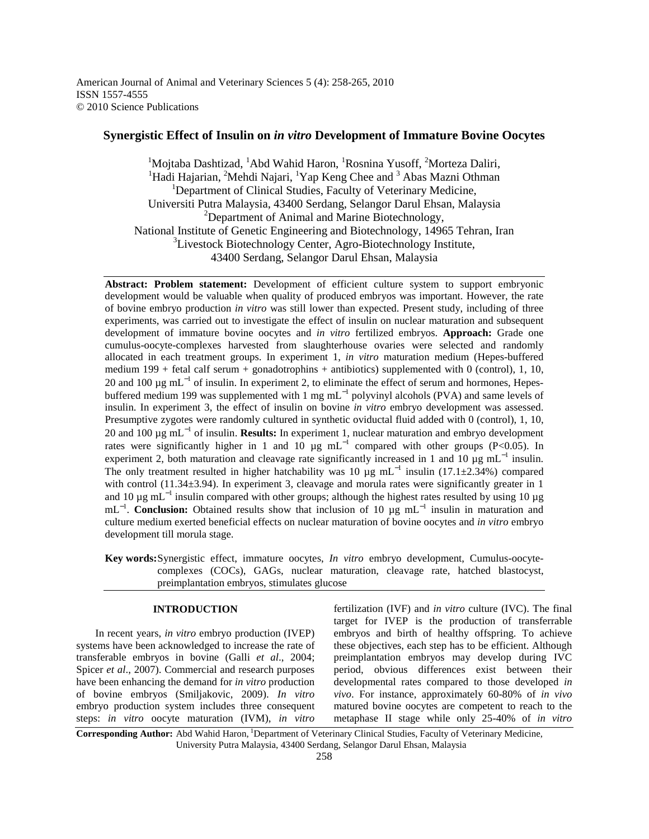American Journal of Animal and Veterinary Sciences 5 (4): 258-265, 2010 ISSN 1557-4555 © 2010 Science Publications

# **Synergistic Effect of Insulin on** *in vitro* **Development of Immature Bovine Oocytes**

<sup>1</sup>Mojtaba Dashtizad, <sup>1</sup>Abd Wahid Haron, <sup>1</sup>Rosnina Yusoff, <sup>2</sup>Morteza Daliri, <sup>1</sup>Hadi Hajarian, <sup>2</sup>Mehdi Najari, <sup>1</sup>Yap Keng Chee and <sup>3</sup> Abas Mazni Othman <sup>1</sup>Department of Clinical Studies, Faculty of Veterinary Medicine, Universiti Putra Malaysia, 43400 Serdang, Selangor Darul Ehsan, Malaysia <sup>2</sup>Department of Animal and Marine Biotechnology, National Institute of Genetic Engineering and Biotechnology, 14965 Tehran, Iran <sup>3</sup>Livestock Biotechnology Center, Agro-Biotechnology Institute, 43400 Serdang, Selangor Darul Ehsan, Malaysia

**Abstract: Problem statement:** Development of efficient culture system to support embryonic development would be valuable when quality of produced embryos was important. However, the rate of bovine embryo production *in vitro* was still lower than expected. Present study, including of three experiments, was carried out to investigate the effect of insulin on nuclear maturation and subsequent development of immature bovine oocytes and *in vitro* fertilized embryos. **Approach:** Grade one cumulus-oocyte-complexes harvested from slaughterhouse ovaries were selected and randomly allocated in each treatment groups. In experiment 1, *in vitro* maturation medium (Hepes-buffered medium  $199 + \text{fetal } \text{cal } \text{serum } + \text{gonadotrophins } + \text{antibiotics}$ ) supplemented with 0 (control), 1, 10, 20 and 100 μg mL<sup>-1</sup> of insulin. In experiment 2, to eliminate the effect of serum and hormones, Hepesbuffered medium 199 was supplemented with 1 mg mL<sup>-1</sup> polyvinyl alcohols (PVA) and same levels of insulin. In experiment 3, the effect of insulin on bovine *in vitro* embryo development was assessed. Presumptive zygotes were randomly cultured in synthetic oviductal fluid added with 0 (control), 1, 10, 20 and 100 µg mL<sup>−</sup><sup>1</sup> of insulin. **Results:** In experiment 1, nuclear maturation and embryo development rates were significantly higher in 1 and 10  $\mu$ g mL<sup>-1</sup> compared with other groups (P<0.05). In experiment 2, both maturation and cleavage rate significantly increased in 1 and 10  $\mu$ g mL<sup>-1</sup> insulin. The only treatment resulted in higher hatchability was 10  $\mu$ g mL<sup>-1</sup> insulin (17.1±2.34%) compared with control (11.34±3.94). In experiment 3, cleavage and morula rates were significantly greater in 1 and 10  $\mu$ g mL<sup>-1</sup> insulin compared with other groups; although the highest rates resulted by using 10  $\mu$ g mL<sup>-1</sup>. **Conclusion:** Obtained results show that inclusion of 10 μg mL<sup>-1</sup> insulin in maturation and culture medium exerted beneficial effects on nuclear maturation of bovine oocytes and *in vitro* embryo development till morula stage.

**Key words:** Synergistic effect, immature oocytes, *In vitro* embryo development, Cumulus-oocytecomplexes (COCs), GAGs, nuclear maturation, cleavage rate, hatched blastocyst, preimplantation embryos, stimulates glucose

## **INTRODUCTION**

 In recent years, *in vitro* embryo production (IVEP) systems have been acknowledged to increase the rate of transferable embryos in bovine (Galli *et al*., 2004; Spicer *et al*., 2007). Commercial and research purposes have been enhancing the demand for *in vitro* production of bovine embryos (Smiljakovic, 2009). *In vitro* embryo production system includes three consequent steps: *in vitro* oocyte maturation (IVM), *in vitro* 

fertilization (IVF) and *in vitro* culture (IVC). The final target for IVEP is the production of transferrable embryos and birth of healthy offspring. To achieve these objectives, each step has to be efficient. Although preimplantation embryos may develop during IVC period, obvious differences exist between their developmental rates compared to those developed *in vivo*. For instance, approximately 60-80% of *in vivo* matured bovine oocytes are competent to reach to the metaphase II stage while only 25-40% of *in vitro*

**Corresponding Author:** Abd Wahid Haron, <sup>1</sup>Department of Veterinary Clinical Studies, Faculty of Veterinary Medicine, University Putra Malaysia, 43400 Serdang, Selangor Darul Ehsan, Malaysia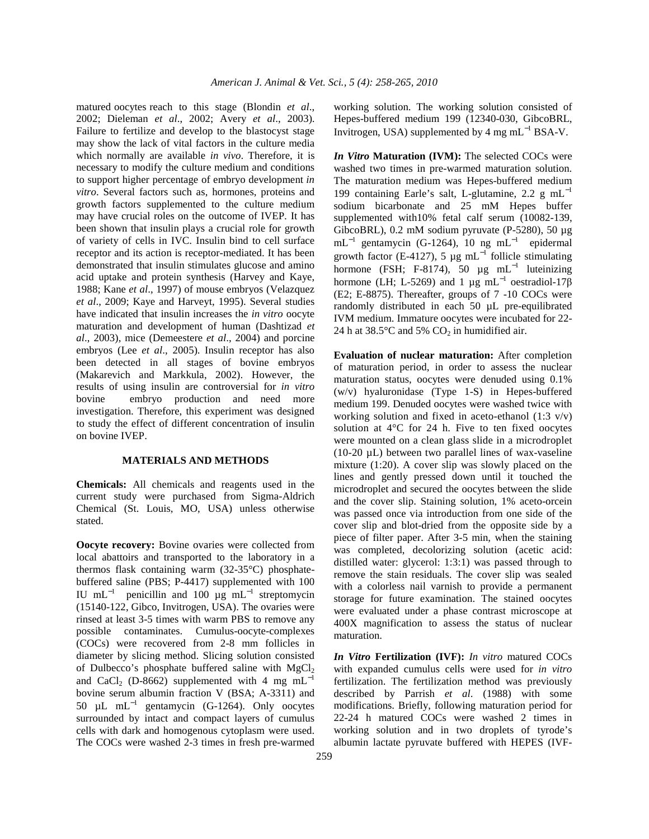matured oocytes reach to this stage (Blondin *et al*., 2002; Dieleman *et al*., 2002; Avery *et al*., 2003). Failure to fertilize and develop to the blastocyst stage may show the lack of vital factors in the culture media which normally are available *in vivo*. Therefore, it is necessary to modify the culture medium and conditions to support higher percentage of embryo development *in vitro*. Several factors such as, hormones, proteins and growth factors supplemented to the culture medium may have crucial roles on the outcome of IVEP*.* It has been shown that insulin plays a crucial role for growth of variety of cells in IVC. Insulin bind to cell surface receptor and its action is receptor-mediated. It has been demonstrated that insulin stimulates glucose and amino acid uptake and protein synthesis (Harvey and Kaye, 1988; Kane *et al*., 1997) of mouse embryos (Velazquez *et al*., 2009; Kaye and Harveyt, 1995). Several studies have indicated that insulin increases the *in vitro* oocyte maturation and development of human (Dashtizad *et al*., 2003), mice (Demeestere *et al*., 2004) and porcine embryos (Lee *et al*., 2005). Insulin receptor has also been detected in all stages of bovine embryos (Makarevich and Markkula, 2002). However, the results of using insulin are controversial for *in vitro*  bovine embryo production and need more investigation. Therefore, this experiment was designed to study the effect of different concentration of insulin on bovine IVEP.

#### **MATERIALS AND METHODS**

**Chemicals:** All chemicals and reagents used in the current study were purchased from Sigma-Aldrich Chemical (St. Louis, MO, USA) unless otherwise stated.

**Oocyte recovery:** Bovine ovaries were collected from local abattoirs and transported to the laboratory in a thermos flask containing warm (32-35°C) phosphatebuffered saline (PBS; P-4417) supplemented with 100 IU mL<sup>-1</sup> penicillin and 100 µg mL<sup>-1</sup> streptomycin (15140-122, Gibco, Invitrogen, USA). The ovaries were rinsed at least 3-5 times with warm PBS to remove any possible contaminates. Cumulus-oocyte-complexes (COCs) were recovered from 2-8 mm follicles in diameter by slicing method. Slicing solution consisted of Dulbecco's phosphate buffered saline with  $MgCl<sub>2</sub>$ and CaCl<sub>2</sub> (D-8662) supplemented with 4 mg mL<sup>-1</sup> bovine serum albumin fraction V (BSA; A-3311) and 50 µL mL<sup>-1</sup> gentamycin (G-1264). Only oocytes surrounded by intact and compact layers of cumulus cells with dark and homogenous cytoplasm were used. The COCs were washed 2-3 times in fresh pre-warmed

working solution. The working solution consisted of Hepes-buffered medium 199 (12340-030, GibcoBRL, Invitrogen, USA) supplemented by 4 mg mL<sup>-1</sup> BSA-V.

*In Vitro* **Maturation (IVM):** The selected COCs were washed two times in pre-warmed maturation solution. The maturation medium was Hepes-buffered medium 199 containing Earle's salt, L-glutamine, 2.2 g mL<sup>−</sup><sup>1</sup> sodium bicarbonate and 25 mM Hepes buffer supplemented with10% fetal calf serum (10082-139, GibcoBRL), 0.2 mM sodium pyruvate (P-5280), 50 µg mL<sup>-1</sup> gentamycin (G-1264), 10 ng mL<sup>-1</sup> epidermal growth factor (E-4127), 5 µg mL<sup>-1</sup> follicle stimulating hormone (FSH; F-8174), 50  $\mu$ g mL<sup>-1</sup> luteinizing hormone (LH; L-5269) and 1 μg mL<sup>-1</sup> oestradiol-17β (E2; E-8875). Thereafter, groups of 7 -10 COCs were randomly distributed in each 50 µL pre-equilibrated IVM medium. Immature oocytes were incubated for 22- 24 h at 38.5°C and 5%  $CO<sub>2</sub>$  in humidified air.

**Evaluation of nuclear maturation:** After completion of maturation period, in order to assess the nuclear maturation status, oocytes were denuded using 0.1% (w/v) hyaluronidase (Type 1-S) in Hepes-buffered medium 199. Denuded oocytes were washed twice with working solution and fixed in aceto-ethanol  $(1:3 \text{ v/v})$ solution at 4°C for 24 h. Five to ten fixed oocytes were mounted on a clean glass slide in a microdroplet (10-20 µL) between two parallel lines of wax-vaseline mixture (1:20). A cover slip was slowly placed on the lines and gently pressed down until it touched the microdroplet and secured the oocytes between the slide and the cover slip. Staining solution, 1% aceto-orcein was passed once via introduction from one side of the cover slip and blot-dried from the opposite side by a piece of filter paper. After 3-5 min, when the staining was completed, decolorizing solution (acetic acid: distilled water: glycerol: 1:3:1) was passed through to remove the stain residuals. The cover slip was sealed with a colorless nail varnish to provide a permanent storage for future examination. The stained oocytes were evaluated under a phase contrast microscope at 400X magnification to assess the status of nuclear maturation.

*In Vitro* **Fertilization (IVF):** *In vitro* matured COCs with expanded cumulus cells were used for *in vitro*  fertilization. The fertilization method was previously described by Parrish *et al*. (1988) with some modifications. Briefly, following maturation period for 22-24 h matured COCs were washed 2 times in working solution and in two droplets of tyrode's albumin lactate pyruvate buffered with HEPES (IVF-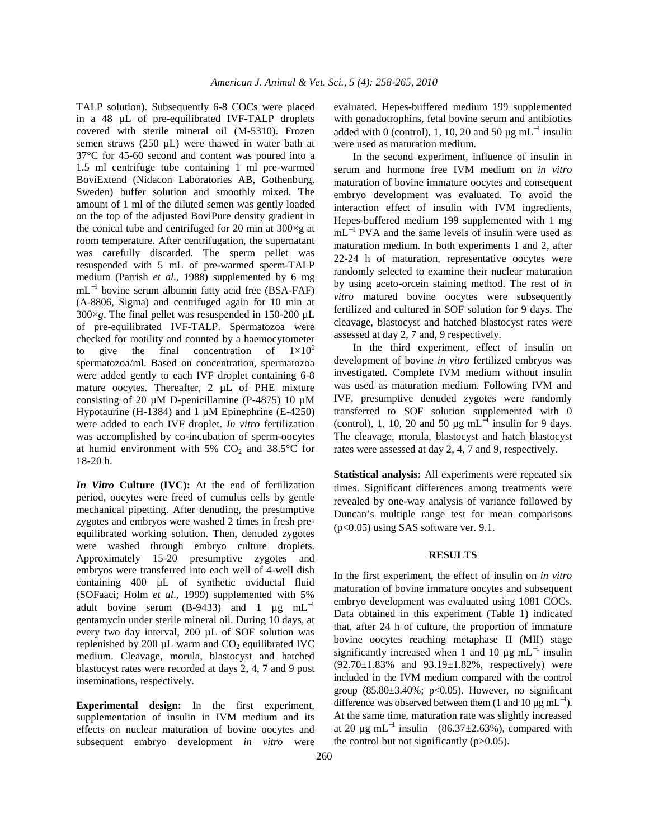TALP solution). Subsequently 6-8 COCs were placed in a 48 µL of pre-equilibrated IVF-TALP droplets covered with sterile mineral oil (M-5310). Frozen semen straws  $(250 \mu L)$  were thawed in water bath at 37°C for 45-60 second and content was poured into a 1.5 ml centrifuge tube containing 1 ml pre-warmed BoviExtend (Nidacon Laboratories AB, Gothenburg, Sweden) buffer solution and smoothly mixed. The amount of 1 ml of the diluted semen was gently loaded on the top of the adjusted BoviPure density gradient in the conical tube and centrifuged for 20 min at  $300 \times g$  at room temperature. After centrifugation, the supernatant was carefully discarded. The sperm pellet was resuspended with 5 mL of pre-warmed sperm-TALP medium (Parrish *et al*., 1988) supplemented by 6 mg mL<sup>-1</sup> bovine serum albumin fatty acid free (BSA-FAF) (A-8806, Sigma) and centrifuged again for 10 min at  $300 \times g$ . The final pellet was resuspended in 150-200  $\mu$ L of pre-equilibrated IVF-TALP. Spermatozoa were checked for motility and counted by a haemocytometer to give the final concentration of  $1\times10^6$ spermatozoa/ml. Based on concentration, spermatozoa were added gently to each IVF droplet containing 6-8 mature oocytes. Thereafter, 2 µL of PHE mixture consisting of 20  $\mu$ M D-penicillamine (P-4875) 10  $\mu$ M Hypotaurine (H-1384) and 1  $\mu$ M Epinephrine (E-4250) were added to each IVF droplet. *In vitro* fertilization was accomplished by co-incubation of sperm-oocytes at humid environment with 5%  $CO<sub>2</sub>$  and 38.5°C for 18-20 h.

*In Vitro* **Culture (IVC):** At the end of fertilization period, oocytes were freed of cumulus cells by gentle mechanical pipetting. After denuding, the presumptive zygotes and embryos were washed 2 times in fresh preequilibrated working solution. Then, denuded zygotes were washed through embryo culture droplets. Approximately 15-20 presumptive zygotes and embryos were transferred into each well of 4-well dish containing 400 µL of synthetic oviductal fluid (SOFaaci; Holm *et al*., 1999) supplemented with 5% adult bovine serum (B-9433) and 1  $\mu$ g mL<sup>-1</sup> gentamycin under sterile mineral oil. During 10 days, at every two day interval, 200 µL of SOF solution was replenished by 200  $\mu$ L warm and  $CO_2$  equilibrated IVC medium. Cleavage, morula, blastocyst and hatched blastocyst rates were recorded at days 2, 4, 7 and 9 post inseminations, respectively.

**Experimental design:** In the first experiment, supplementation of insulin in IVM medium and its effects on nuclear maturation of bovine oocytes and subsequent embryo development *in vitro* were evaluated. Hepes-buffered medium 199 supplemented with gonadotrophins, fetal bovine serum and antibiotics added with 0 (control), 1, 10, 20 and 50  $\mu$ g mL<sup>-1</sup> insulin were used as maturation medium.

 In the second experiment, influence of insulin in serum and hormone free IVM medium on *in vitro*  maturation of bovine immature oocytes and consequent embryo development was evaluated. To avoid the interaction effect of insulin with IVM ingredients, Hepes-buffered medium 199 supplemented with 1 mg mL<sup>-1</sup> PVA and the same levels of insulin were used as maturation medium. In both experiments 1 and 2, after 22-24 h of maturation, representative oocytes were randomly selected to examine their nuclear maturation by using aceto-orcein staining method. The rest of *in vitro* matured bovine oocytes were subsequently fertilized and cultured in SOF solution for 9 days. The cleavage, blastocyst and hatched blastocyst rates were assessed at day 2, 7 and, 9 respectively.

 In the third experiment, effect of insulin on development of bovine *in vitro* fertilized embryos was investigated. Complete IVM medium without insulin was used as maturation medium. Following IVM and IVF, presumptive denuded zygotes were randomly transferred to SOF solution supplemented with 0 (control), 1, 10, 20 and 50  $\mu$ g mL<sup>-1</sup> insulin for 9 days. The cleavage, morula, blastocyst and hatch blastocyst rates were assessed at day 2, 4, 7 and 9, respectively.

**Statistical analysis:** All experiments were repeated six times. Significant differences among treatments were revealed by one-way analysis of variance followed by Duncan's multiple range test for mean comparisons (p<0.05) using SAS software ver. 9.1.

## **RESULTS**

In the first experiment, the effect of insulin on *in vitro*  maturation of bovine immature oocytes and subsequent embryo development was evaluated using 1081 COCs. Data obtained in this experiment (Table 1) indicated that, after 24 h of culture, the proportion of immature bovine oocytes reaching metaphase II (MII) stage significantly increased when 1 and 10  $\mu$ g mL<sup>-1</sup> insulin  $(92.70 \pm 1.83\%$  and  $93.19 \pm 1.82\%$ , respectively) were included in the IVM medium compared with the control group  $(85.80\pm3.40\%; p<0.05)$ . However, no significant difference was observed between them (1 and 10  $\mu$ g mL<sup>-1</sup>). At the same time, maturation rate was slightly increased at 20  $\mu$ g mL<sup>-1</sup> insulin (86.37±2.63%), compared with the control but not significantly  $(p>0.05)$ .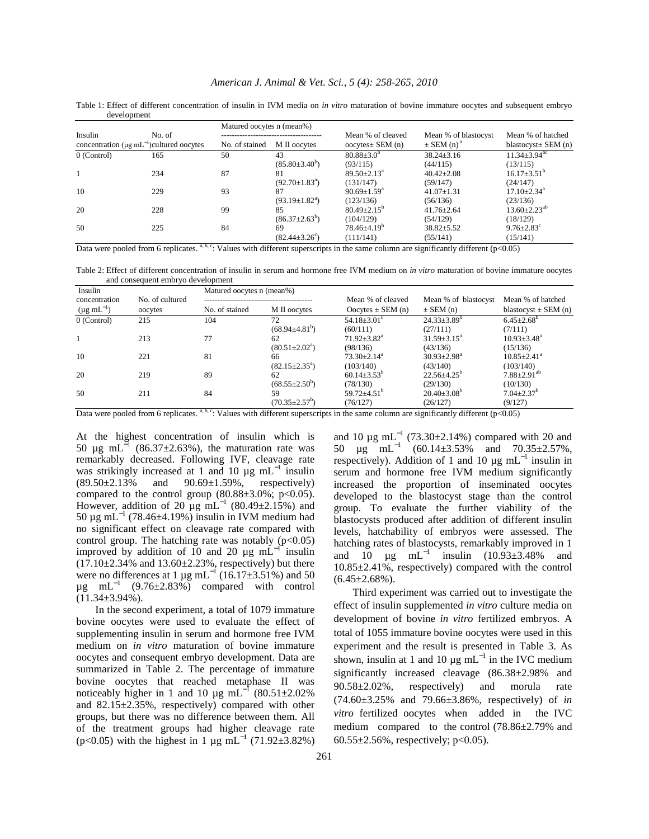|                                                            |        | Matured oocytes n (mean%) |                            |                               |                            |                                |
|------------------------------------------------------------|--------|---------------------------|----------------------------|-------------------------------|----------------------------|--------------------------------|
| Insulin                                                    | No. of |                           |                            | Mean % of cleaved             | Mean % of blastocyst       | Mean % of hatched              |
| concentration ( $\mu$ g mL <sup>-1</sup> )cultured oocytes |        | No. of stained            | M II oocytes               | oocytes $\pm$ SEM (n)         | $\pm$ SEM (n) <sup>a</sup> | blastocyst $\pm$ SEM (n)       |
| $0$ (Control)                                              | 165    | 50                        | 43                         | $80.88 \pm 3.0^{\circ}$       | $38.24 \pm 3.16$           | $11.34 \pm 3.94^{\rm bc}$      |
|                                                            |        |                           | $(85.80 \pm 3.40^b)$       | (93/115)                      | (44/115)                   | (13/115)                       |
|                                                            | 234    | 87                        | 81                         | $89.50 \pm 2.13^{\circ}$      | $40.42 \pm 2.08$           | $16.17\pm3.51^{\circ}$         |
|                                                            |        |                           | $(92.70 \pm 1.83^{\circ})$ | (131/147)                     | (59/147)                   | (24/147)                       |
| 10                                                         | 229    | 93                        | 87                         | $90.69 \pm 1.59^{\mathrm{a}}$ | $41.07 \pm 1.31$           | $17.10 \pm 2.34$ <sup>a</sup>  |
|                                                            |        |                           | $(93.19 \pm 1.82^{\circ})$ | (123/136)                     | (56/136)                   | (23/136)                       |
| 20                                                         | 228    | 99                        | 85                         | $80.49 \pm 2.15^{\circ}$      | $41.76 \pm 2.64$           | $13.60 \pm 2.23$ <sup>ab</sup> |
|                                                            |        |                           | $(86.37 \pm 2.63^b)$       | (104/129)                     | (54/129)                   | (18/129)                       |
| 50                                                         | 225    | 84                        | 69                         | $78.46{\pm}4.19^b$            | $38.82 \pm 5.52$           | $9.76 \pm 2.83$ <sup>c</sup>   |
|                                                            |        |                           | $(82.44 \pm 3.26^{\circ})$ | (111/141)                     | (55/141)                   | (15/141)                       |

Table 1: Effect of different concentration of insulin in IVM media on *in vitro* maturation of bovine immature oocytes and subsequent embryo development

Data were pooled from 6 replicates.  $a, b, c$ : Values with different superscripts in the same column are significantly different (p<0.05)

Table 2: Effect of different concentration of insulin in serum and hormone free IVM medium on *in vitro* maturation of bovine immature oocytes and consequent embryo development

| Insulin                   |                 | Matured oocytes n (mean%) |                            |                               |                             |                               |  |
|---------------------------|-----------------|---------------------------|----------------------------|-------------------------------|-----------------------------|-------------------------------|--|
| concentration             | No. of cultured |                           |                            | Mean % of cleaved             | Mean % of blastocyst        | Mean % of hatched             |  |
| $(\mu g \text{ mL}^{-1})$ | oocytes         | No. of stained            | M II oocytes               | Oocytes $\pm$ SEM (n)         | $\pm$ SEM (n)               | blastocyst $\pm$ SEM (n)      |  |
| $0$ (Control)             | 215             | 104                       | 72                         | $54.18 \pm 3.01$ <sup>c</sup> | $24.33 \pm 3.89^b$          | $6.45 \pm 2.68^b$             |  |
|                           |                 |                           | $(68.94 \pm 4.81^b)$       | (60/111)                      | (27/111)                    | (7/111)                       |  |
|                           | 213             | 77                        | 62                         | $71.92 \pm 3.82^{\text{a}}$   | $31.59 \pm 3.15^{\text{a}}$ | $10.93 \pm 3.48^a$            |  |
|                           |                 |                           | $(80.51 \pm 2.02^{\circ})$ | (98/136)                      | (43/136)                    | (15/136)                      |  |
| 10                        | 221             | 81                        | 66                         | $73.30 \pm 2.14^a$            | $30.93 \pm 2.98^{\text{a}}$ | $10.85 \pm 2.41$ <sup>a</sup> |  |
|                           |                 |                           | $(82.15 \pm 2.35^{\circ})$ | (103/140)                     | (43/140)                    | (103/140)                     |  |
| 20                        | 219             | 89                        | 62                         | $60.14 \pm 3.53^{\circ}$      | $22.56 \pm 4.25^{\circ}$    | $7.88 \pm 2.91$ <sup>ab</sup> |  |
|                           |                 |                           | $(68.55 \pm 2.50^b)$       | (78/130)                      | (29/130)                    | (10/130)                      |  |
| 50                        | 211             | 84                        | 59                         | $59.72 \pm 4.51$ <sup>b</sup> | $20.40\pm3.08^b$            | $7.04 \pm 2.37$ <sup>b</sup>  |  |
|                           |                 |                           | $(70.35 \pm 2.57^b)$       | (76/127)                      | (26/127)                    | (9/127)                       |  |

Data were pooled from 6 replicates. a, b, c: Values with different superscripts in the same column are significantly different (p<0.05)

At the highest concentration of insulin which is 50 µg mL<sup> $^{-1}$ </sup> (86.37±2.63%), the maturation rate was remarkably decreased. Following IVF, cleavage rate was strikingly increased at 1 and 10  $\mu$ g mL<sup>-1</sup> insulin  $(89.50 \pm 2.13\%)$  and  $90.69 \pm 1.59\%$ , respectively) compared to the control group  $(80.88\pm3.0\%; p<0.05)$ . However, addition of 20 µg mL<sup>-1</sup> (80.49±2.15%) and 50 μg mL<sup>-1</sup> (78.46±4.19%) insulin in IVM medium had no significant effect on cleavage rate compared with control group. The hatching rate was notably  $(p<0.05)$ improved by addition of 10 and 20  $\mu$ g mL<sup>-1</sup> insulin  $(17.10 \pm 2.34\%$  and  $13.60 \pm 2.23\%$ , respectively) but there were no differences at 1 µg mL<sup>-1</sup> (16.17 $\pm$ 3.51%) and 50  $\mu$ g mL<sup>-1</sup> (9.76±2.83%) compared with control  $(11.34\pm3.94\%)$ .

 In the second experiment, a total of 1079 immature bovine oocytes were used to evaluate the effect of supplementing insulin in serum and hormone free IVM medium on *in vitro* maturation of bovine immature oocytes and consequent embryo development. Data are summarized in Table 2. The percentage of immature bovine oocytes that reached metaphase II was noticeably higher in 1 and 10  $\mu$ g mL<sup>-1</sup> (80.51±2.02%) and 82.15±2.35%, respectively) compared with other groups, but there was no difference between them. All of the treatment groups had higher cleavage rate (p<0.05) with the highest in 1  $\mu$ g mL<sup>-1</sup> (71.92±3.82%)

and 10  $\mu$ g mL<sup>-1</sup> (73.30±2.14%) compared with 20 and 50 µg mL<sup>−</sup><sup>1</sup> (60.14±3.53% and 70.35±2.57%, respectively). Addition of 1 and 10  $\mu$ g mL<sup>-1</sup> insulin in serum and hormone free IVM medium significantly increased the proportion of inseminated oocytes developed to the blastocyst stage than the control group. To evaluate the further viability of the blastocysts produced after addition of different insulin levels, hatchability of embryos were assessed. The hatching rates of blastocysts, remarkably improved in 1 and 10  $\mu$ g mL<sup>-1</sup> insulin (10.93±3.48% and 10.85±2.41%, respectively) compared with the control  $(6.45 \pm 2.68\%)$ .

 Third experiment was carried out to investigate the effect of insulin supplemented *in vitro* culture media on development of bovine *in vitro* fertilized embryos. A total of 1055 immature bovine oocytes were used in this experiment and the result is presented in Table 3. As shown, insulin at 1 and 10  $\mu$ g mL<sup>-1</sup> in the IVC medium significantly increased cleavage (86.38±2.98% and 90.58±2.02%, respectively) and morula rate (74.60±3.25% and 79.66±3.86%, respectively) of *in vitro* fertilized oocytes when added in the IVC medium compared to the control (78.86±2.79% and 60.55 $\pm$ 2.56%, respectively; p<0.05).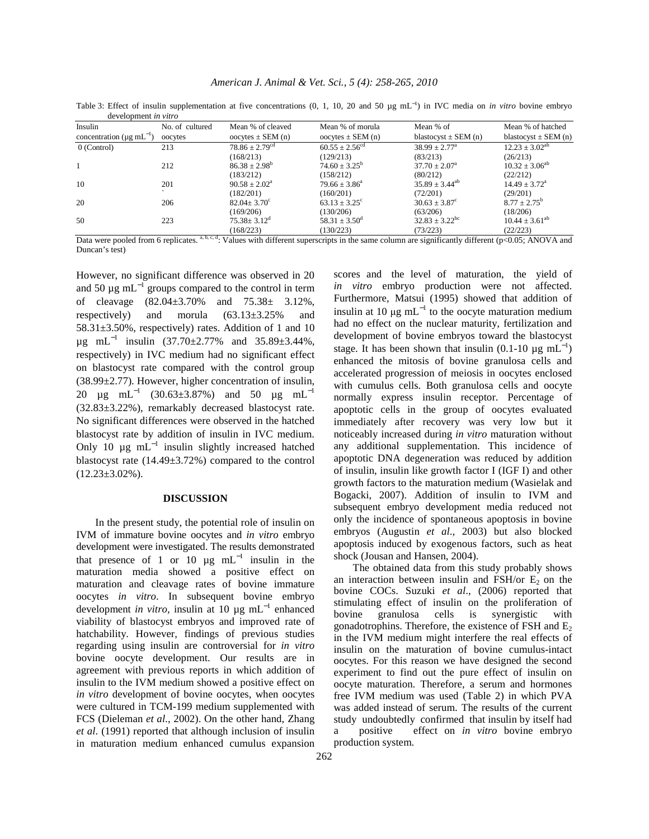Table 3: Effect of insulin supplementation at five concentrations (0, 1, 10, 20 and 50 μg mL<sup>-1</sup>) in IVC media on *in vitro* bovine embryo development *in vitro*

| Insulin                                    | No. of cultured | Mean % of cleaved              | Mean % of morula             | Mean % of                      | Mean % of hatched           |
|--------------------------------------------|-----------------|--------------------------------|------------------------------|--------------------------------|-----------------------------|
| concentration ( $\mu$ g mL <sup>-1</sup> ) | oocytes         | oocytes $\pm$ SEM (n)          | oocytes $\pm$ SEM (n)        | blastocyst $\pm$ SEM (n)       | blastocyst $\pm$ SEM (n)    |
| 0 (Control)                                | 213             | $78.86 \pm 2.79$ <sup>cd</sup> | $60.55 \pm 2.56^{\text{cd}}$ | $38.99 \pm 2.77^{\text{a}}$    | $12.23 \pm 3.02^{ab}$       |
|                                            |                 | (168/213)                      | (129/213)                    | (83/213)                       | (26/213)                    |
|                                            | 212             | $86.38 \pm 2.98^{\circ}$       | $74.60 \pm 3.25^{\circ}$     | $37.70 \pm 2.07^{\circ}$       | $10.32 \pm 3.06^{ab}$       |
|                                            |                 | (183/212)                      | (158/212)                    | (80/212)                       | (22/212)                    |
| 10                                         | 201             | $90.58 \pm 2.02^{\circ}$       | $79.66 \pm 3.86^{\circ}$     | $35.89 \pm 3.44^{\text{ab}}$   | $14.49 \pm 3.72^{\text{a}}$ |
|                                            |                 | (182/201)                      | (160/201)                    | (72/201)                       | (29/201)                    |
| 20                                         | 206             | $82.04 \pm 3.70$ <sup>c</sup>  | $63.13 \pm 3.25^{\circ}$     | $30.63 \pm 3.87^{\circ}$       | $8.77 \pm 2.75^{\circ}$     |
|                                            |                 | (169/206)                      | (130/206)                    | (63/206)                       | (18/206)                    |
| 50                                         | 223             | $75.38 \pm 3.12^{\text{d}}$    | $58.31 \pm 3.50^{\circ}$     | $32.83 \pm 3.22$ <sup>bc</sup> | $10.44 \pm 3.61^{ab}$       |
|                                            |                 | (168/223)                      | (130/223)                    | (73/223)                       | (22/223)                    |

 $(168/223)$   $(130/223)$   $(73/223)$   $(73/223)$   $(22/223)$   $(22/223)$ <br>Data were pooled from 6 replicates. a, b, c, d; Values with different superscripts in the same column are significantly different (p<0.05; ANOVA and Duncan's test)

However, no significant difference was observed in 20 and 50  $\mu$ g mL<sup>-1</sup> groups compared to the control in term of cleavage (82.04±3.70% and 75.38± 3.12%, respectively) and morula (63.13±3.25% and 58.31±3.50%, respectively) rates. Addition of 1 and 10  $\mu$ g mL<sup>-1</sup> insulin (37.70±2.77% and 35.89±3.44%, respectively) in IVC medium had no significant effect on blastocyst rate compared with the control group (38.99±2.77). However, higher concentration of insulin, 20  $\mu$ g mL<sup>-1</sup> (30.63±3.87%) and 50  $\mu$ g mL<sup>-1</sup> (32.83±3.22%), remarkably decreased blastocyst rate. No significant differences were observed in the hatched blastocyst rate by addition of insulin in IVC medium. Only 10  $\mu$ g mL<sup>-1</sup> insulin slightly increased hatched blastocyst rate (14.49±3.72%) compared to the control  $(12.23\pm3.02\%)$ .

#### **DISCUSSION**

 In the present study, the potential role of insulin on IVM of immature bovine oocytes and *in vitro* embryo development were investigated. The results demonstrated that presence of 1 or 10  $\mu$ g mL<sup>-1</sup> insulin in the maturation media showed a positive effect on maturation and cleavage rates of bovine immature oocytes *in vitro*. In subsequent bovine embryo development *in vitro*, insulin at 10  $\mu$ g mL<sup>-1</sup> enhanced viability of blastocyst embryos and improved rate of hatchability. However, findings of previous studies regarding using insulin are controversial for *in vitro*  bovine oocyte development. Our results are in agreement with previous reports in which addition of insulin to the IVM medium showed a positive effect on *in vitro* development of bovine oocytes, when oocytes were cultured in TCM-199 medium supplemented with FCS (Dieleman *et al*., 2002). On the other hand, Zhang *et al*. (1991) reported that although inclusion of insulin in maturation medium enhanced cumulus expansion

scores and the level of maturation, the yield of *in vitro* embryo production were not affected. Furthermore, Matsui (1995) showed that addition of insulin at 10  $\mu$ g mL<sup>-1</sup> to the oocyte maturation medium had no effect on the nuclear maturity, fertilization and development of bovine embryos toward the blastocyst stage. It has been shown that insulin  $(0.1\n-10 \mu g \text{ mL}^{-1})$ enhanced the mitosis of bovine granulosa cells and accelerated progression of meiosis in oocytes enclosed with cumulus cells. Both granulosa cells and oocyte normally express insulin receptor. Percentage of apoptotic cells in the group of oocytes evaluated immediately after recovery was very low but it noticeably increased during *in vitro* maturation without any additional supplementation. This incidence of apoptotic DNA degeneration was reduced by addition of insulin, insulin like growth factor I (IGF I) and other growth factors to the maturation medium (Wasielak and Bogacki, 2007). Addition of insulin to IVM and subsequent embryo development media reduced not only the incidence of spontaneous apoptosis in bovine embryos (Augustin *et al*., 2003) but also blocked apoptosis induced by exogenous factors, such as heat shock (Jousan and Hansen, 2004).

 The obtained data from this study probably shows an interaction between insulin and FSH/or  $E_2$  on the bovine COCs. Suzuki *et al*., (2006) reported that stimulating effect of insulin on the proliferation of bovine granulosa cells is synergistic with gonadotrophins. Therefore, the existence of FSH and  $E<sub>2</sub>$ in the IVM medium might interfere the real effects of insulin on the maturation of bovine cumulus-intact oocytes. For this reason we have designed the second experiment to find out the pure effect of insulin on oocyte maturation. Therefore, a serum and hormones free IVM medium was used (Table 2) in which PVA was added instead of serum. The results of the current study undoubtedly confirmed that insulin by itself had a positive effect on *in vitro* bovine embryo production system.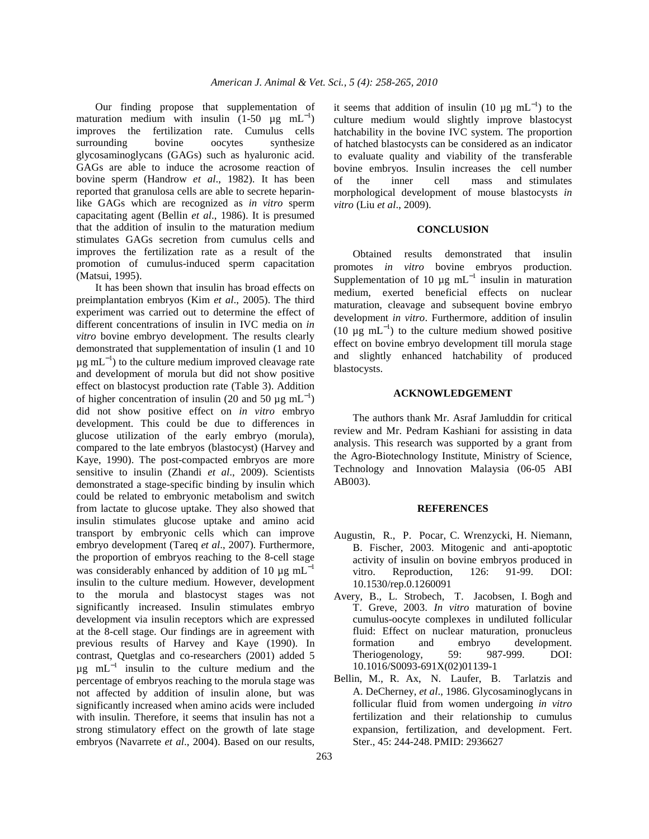Our finding propose that supplementation of maturation medium with insulin  $(1-50 \mu g m L^{-1})$ improves the fertilization rate. Cumulus cells surrounding bovine oocytes synthesize glycosaminoglycans (GAGs) such as hyaluronic acid. GAGs are able to induce the acrosome reaction of bovine sperm (Handrow *et al*., 1982). It has been reported that granulosa cells are able to secrete heparinlike GAGs which are recognized as *in vitro* sperm capacitating agent (Bellin *et al*., 1986). It is presumed that the addition of insulin to the maturation medium stimulates GAGs secretion from cumulus cells and improves the fertilization rate as a result of the promotion of cumulus-induced sperm capacitation (Matsui, 1995).

 It has been shown that insulin has broad effects on preimplantation embryos (Kim *et al*., 2005). The third experiment was carried out to determine the effect of different concentrations of insulin in IVC media on *in vitro* bovine embryo development. The results clearly demonstrated that supplementation of insulin (1 and 10  $\mu$ g mL<sup>-1</sup>) to the culture medium improved cleavage rate and development of morula but did not show positive effect on blastocyst production rate (Table 3). Addition of higher concentration of insulin (20 and 50  $\mu$ g mL<sup>-1</sup>) did not show positive effect on *in vitro* embryo development. This could be due to differences in glucose utilization of the early embryo (morula), compared to the late embryos (blastocyst) (Harvey and Kaye, 1990). The post-compacted embryos are more sensitive to insulin (Zhandi *et al*., 2009). Scientists demonstrated a stage-specific binding by insulin which could be related to embryonic metabolism and switch from lactate to glucose uptake. They also showed that insulin stimulates glucose uptake and amino acid transport by embryonic cells which can improve embryo development (Tareq *et al*., 2007). Furthermore, the proportion of embryos reaching to the 8-cell stage was considerably enhanced by addition of 10  $\mu$ g mL<sup>-1</sup> insulin to the culture medium. However, development to the morula and blastocyst stages was not significantly increased. Insulin stimulates embryo development via insulin receptors which are expressed at the 8-cell stage. Our findings are in agreement with previous results of Harvey and Kaye (1990). In contrast, Quetglas and co-researchers (2001) added 5  $\mu$ g mL<sup>-1</sup> insulin to the culture medium and the percentage of embryos reaching to the morula stage was not affected by addition of insulin alone, but was significantly increased when amino acids were included with insulin. Therefore, it seems that insulin has not a strong stimulatory effect on the growth of late stage embryos (Navarrete *et al*., 2004). Based on our results,

it seems that addition of insulin (10  $\mu$ g mL<sup>-1</sup>) to the culture medium would slightly improve blastocyst hatchability in the bovine IVC system. The proportion of hatched blastocysts can be considered as an indicator to evaluate quality and viability of the transferable bovine embryos. Insulin increases the cell number of the inner cell mass and stimulates morphological development of mouse blastocysts *in vitro* (Liu *et al*., 2009).

#### **CONCLUSION**

 Obtained results demonstrated that insulin promotes *in vitro* bovine embryos production. Supplementation of 10  $\mu$ g mL<sup>-1</sup> insulin in maturation medium, exerted beneficial effects on nuclear maturation, cleavage and subsequent bovine embryo development *in vitro*. Furthermore, addition of insulin (10  $\mu$ g mL<sup>-1</sup>) to the culture medium showed positive effect on bovine embryo development till morula stage and slightly enhanced hatchability of produced blastocysts.

### **ACKNOWLEDGEMENT**

 The authors thank Mr. Asraf Jamluddin for critical review and Mr. Pedram Kashiani for assisting in data analysis. This research was supported by a grant from the Agro-Biotechnology Institute, Ministry of Science, Technology and Innovation Malaysia (06-05 ABI AB003).

#### **REFERENCES**

- Augustin, R., P. Pocar, C. Wrenzycki, H. Niemann, B. Fischer, 2003. Mitogenic and anti-apoptotic activity of insulin on bovine embryos produced in vitro. Reproduction, 126: 91-99. DOI: 10.1530/rep.0.1260091
- Avery, B., L. Strobech, T. Jacobsen, I. Bogh and T. Greve, 2003. *In vitro* maturation of bovine cumulus-oocyte complexes in undiluted follicular fluid: Effect on nuclear maturation, pronucleus formation and embryo development. Theriogenology, 59: 987-999. DOI: 10.1016/S0093-691X(02)01139-1
- Bellin, M., R. Ax, N. Laufer, B. Tarlatzis and A. DeCherney, *et al*., 1986. Glycosaminoglycans in follicular fluid from women undergoing *in vitro* fertilization and their relationship to cumulus expansion, fertilization, and development. Fert. Ster., 45: 244-248. PMID: 2936627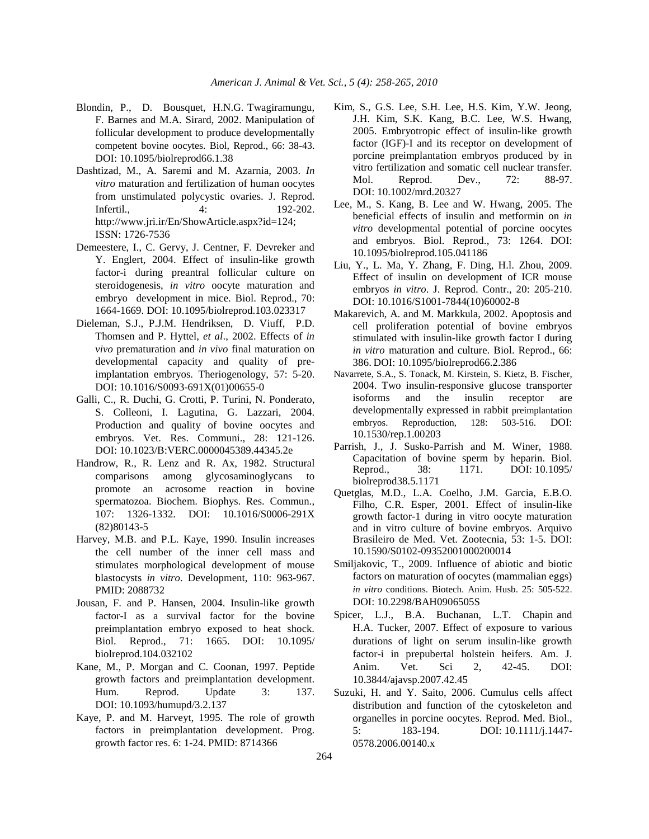- Blondin, P., D. Bousquet, H.N.G. Twagiramungu, F. Barnes and M.A. Sirard, 2002. Manipulation of follicular development to produce developmentally competent bovine oocytes. Biol, Reprod., 66: 38-43. DOI: 10.1095/biolreprod66.1.38
- Dashtizad, M., A. Saremi and M. Azarnia, 2003. *In vitro* maturation and fertilization of human oocytes from unstimulated polycystic ovaries. J. Reprod. Infertil., 4: 192-202. http://www.jri.ir/En/ShowArticle.aspx?id=124; ISSN: 1726-7536
- Demeestere, I., C. Gervy, J. Centner, F. Devreker and Y. Englert, 2004. Effect of insulin-like growth factor-i during preantral follicular culture on steroidogenesis, *in vitro* oocyte maturation and embryo development in mice. Biol. Reprod., 70: 1664-1669. DOI: 10.1095/biolreprod.103.023317
- Dieleman, S.J., P.J.M. Hendriksen, D. Viuff, P.D. Thomsen and P. Hyttel, *et al*., 2002. Effects of *in vivo* prematuration and *in vivo* final maturation on developmental capacity and quality of preimplantation embryos. Theriogenology, 57: 5-20. DOI: 10.1016/S0093-691X(01)00655-0
- Galli, C., R. Duchi, G. Crotti, P. Turini, N. Ponderato, S. Colleoni, I. Lagutina, G. Lazzari, 2004. Production and quality of bovine oocytes and embryos. Vet. Res. Communi., 28: 121-126. DOI: 10.1023/B:VERC.0000045389.44345.2e
- Handrow, R., R. Lenz and R. Ax, 1982. Structural comparisons among glycosaminoglycans to promote an acrosome reaction in bovine spermatozoa. Biochem. Biophys. Res. Commun., 107: 1326-1332. DOI: 10.1016/S0006-291X (82)80143-5
- Harvey, M.B. and P.L. Kaye, 1990. Insulin increases the cell number of the inner cell mass and stimulates morphological development of mouse blastocysts *in vitro*. Development, 110: 963-967. PMID: 2088732
- Jousan, F. and P. Hansen, 2004. Insulin-like growth factor-I as a survival factor for the bovine preimplantation embryo exposed to heat shock. Biol. Reprod., 71: 1665. DOI: 10.1095/ biolreprod.104.032102
- Kane, M., P. Morgan and C. Coonan, 1997. Peptide growth factors and preimplantation development. Hum. Reprod. Update 3: 137. DOI: 10.1093/humupd/3.2.137
- Kaye, P. and M. Harveyt, 1995. The role of growth factors in preimplantation development. Prog. growth factor res. 6: 1-24. PMID: 8714366
- Kim, S., G.S. Lee, S.H. Lee, H.S. Kim, Y.W. Jeong, J.H. Kim, S.K. Kang, B.C. Lee, W.S. Hwang, 2005. Embryotropic effect of insulin-like growth factor (IGF)-I and its receptor on development of porcine preimplantation embryos produced by in vitro fertilization and somatic cell nuclear transfer. Mol. Reprod. Dev., 72: 88-97. DOI: 10.1002/mrd.20327
- Lee, M., S. Kang, B. Lee and W. Hwang, 2005. The beneficial effects of insulin and metformin on *in vitro* developmental potential of porcine oocytes and embryos. Biol. Reprod., 73: 1264. DOI: 10.1095/biolreprod.105.041186
- Liu, Y., L. Ma, Y. Zhang, F. Ding, H.l. Zhou, 2009. Effect of insulin on development of ICR mouse embryos *in vitro*. J. Reprod. Contr., 20: 205-210. DOI: 10.1016/S1001-7844(10)60002-8
- Makarevich, A. and M. Markkula, 2002. Apoptosis and cell proliferation potential of bovine embryos stimulated with insulin-like growth factor I during *in vitro* maturation and culture. Biol. Reprod., 66: 386. DOI: 10.1095/biolreprod66.2.386
- Navarrete, S.A., S. Tonack, M. Kirstein, S. Kietz, B. Fischer, 2004. Two insulin-responsive glucose transporter isoforms and the insulin receptor are developmentally expressed in rabbit preimplantation embryos. Reproduction, 128: 503-516. DOI: 10.1530/rep.1.00203
- Parrish, J., J. Susko-Parrish and M. Winer, 1988. Capacitation of bovine sperm by heparin. Biol. Reprod., 38: 1171. DOI: 10.1095/ biolreprod38.5.1171
- Quetglas, M.D., L.A. Coelho, J.M. Garcia, E.B.O. Filho, C.R. Esper, 2001. Effect of insulin-like growth factor-1 during in vitro oocyte maturation and in vitro culture of bovine embryos. Arquivo Brasileiro de Med. Vet. Zootecnia, 53: 1-5. DOI: 10.1590/S0102-09352001000200014
- Smiljakovic, T., 2009. Influence of abiotic and biotic factors on maturation of oocytes (mammalian eggs) *in vitro* conditions. Biotech. Anim. Husb. 25: 505-522. DOI: 10.2298/BAH0906505S
- Spicer, L.J., B.A. Buchanan, L.T. Chapin and H.A. Tucker, 2007. Effect of exposure to various durations of light on serum insulin-like growth factor-i in prepubertal holstein heifers. Am. J. Anim. Vet. Sci 2, 42-45. DOI: 10.3844/ajavsp.2007.42.45
- Suzuki, H. and Y. Saito, 2006. Cumulus cells affect distribution and function of the cytoskeleton and organelles in porcine oocytes. Reprod. Med. Biol., 5: 183-194. DOI: 10.1111/j.1447- 0578.2006.00140.x